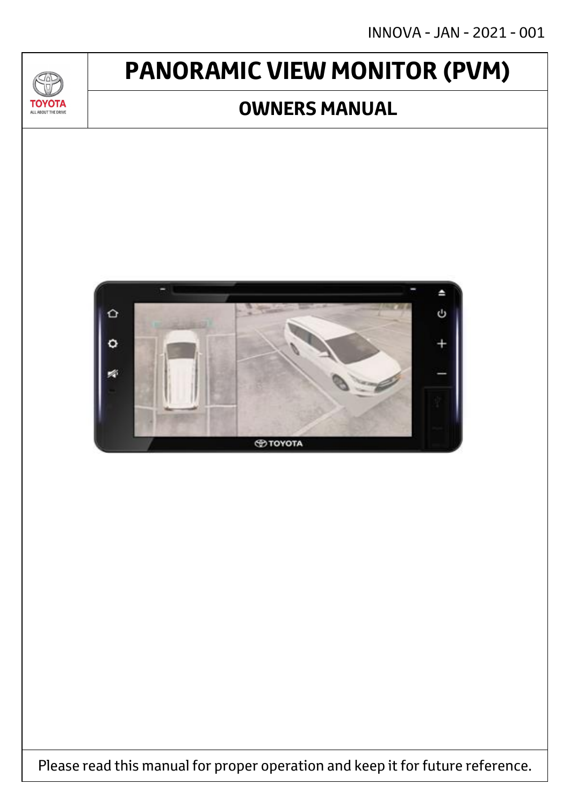# **PANORAMIC VIEW MONITOR (PVM)**

## **OWNERS MANUAL**

**TOYOT** ALL ABOUT THE DRIVE



Please read this manual for proper operation and keep it for future reference.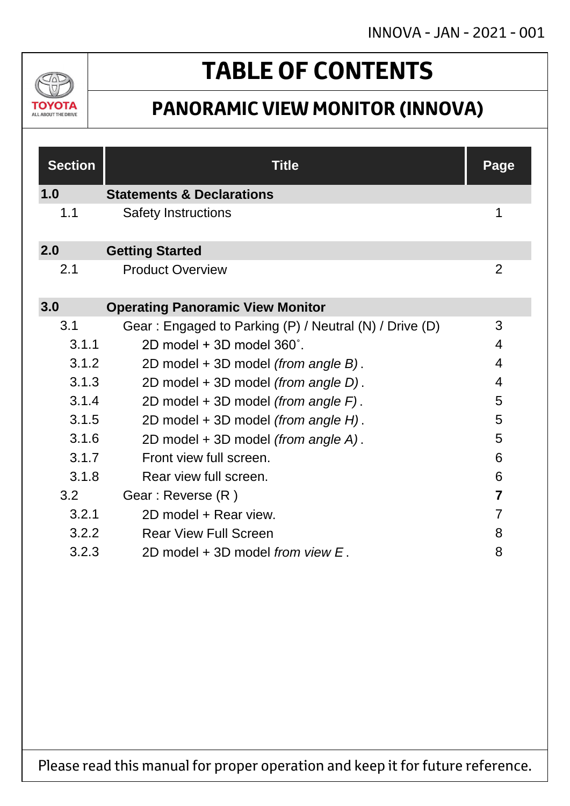

# **TABLE OF CONTENTS**

## **PANORAMIC VIEW MONITOR (INNOVA)**

| <b>Section</b> | <b>Title</b>                                           | <b>Page</b>    |
|----------------|--------------------------------------------------------|----------------|
| 1.0            | <b>Statements &amp; Declarations</b>                   |                |
| 1.1            | <b>Safety Instructions</b>                             | 1              |
| 2.0            | <b>Getting Started</b>                                 |                |
| 2.1            | <b>Product Overview</b>                                | 2              |
| 3.0            | <b>Operating Panoramic View Monitor</b>                |                |
| 3.1            | Gear: Engaged to Parking (P) / Neutral (N) / Drive (D) | 3              |
| 3.1.1          | 2D model + 3D model 360°.                              | 4              |
| 3.1.2          | 2D model + 3D model (from angle B).                    | $\overline{4}$ |
| 3.1.3          | 2D model + 3D model (from angle D).                    | 4              |
| 3.1.4          | 2D model + 3D model (from angle F).                    | 5              |
| 3.1.5          | 2D model + 3D model (from angle H).                    | 5              |
| 3.1.6          | 2D model + 3D model (from angle A).                    | 5              |
| 3.1.7          | Front view full screen.                                | 6              |
| 3.1.8          | Rear view full screen.                                 | 6              |
| 3.2            | Gear: Reverse (R)                                      | $\overline{7}$ |
| 3.2.1          | 2D model + Rear view.                                  | $\overline{7}$ |
| 3.2.2          | <b>Rear View Full Screen</b>                           | 8              |
| 3.2.3          | 2D model + 3D model from view E.                       | 8              |

Please read this manual for proper operation and keep it for future reference.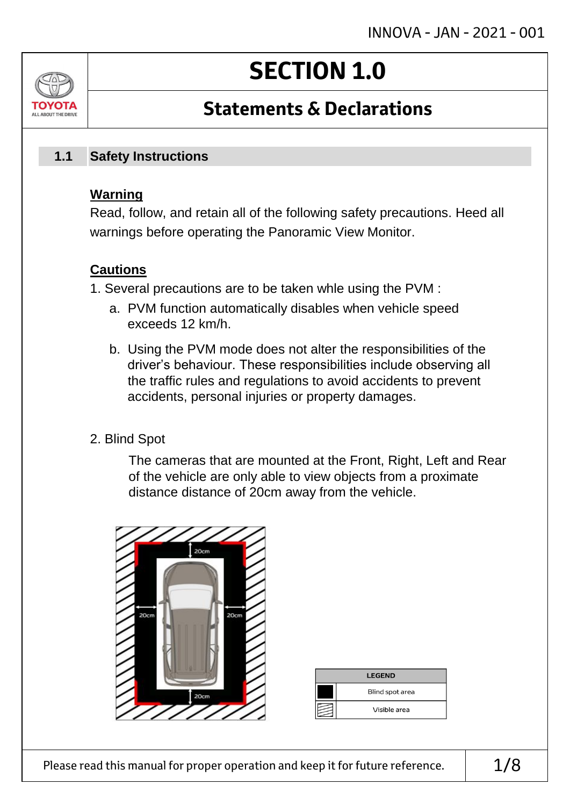# **SECTION 1.0**

## **Statements & Declarations**

#### **Safety Instructions 1.1**

### **Warning**

ALL AROUT THE DRIV

Read, follow, and retain all of the following safety precautions. Heed all warnings before operating the Panoramic View Monitor.

### **Cautions**

- 1. Several precautions are to be taken whle using the PVM :
	- a. PVM function automatically disables when vehicle speed exceeds 12 km/h.
	- b. Using the PVM mode does not alter the responsibilities of the driver's behaviour. These responsibilities include observing all the traffic rules and regulations to avoid accidents to prevent accidents, personal injuries or property damages.
- 2. Blind Spot

The cameras that are mounted at the Front, Right, Left and Rear of the vehicle are only able to view objects from a proximate distance distance of 20cm away from the vehicle.



| <b>LEGEND</b>   |
|-----------------|
| Blind spot area |
| Visible area    |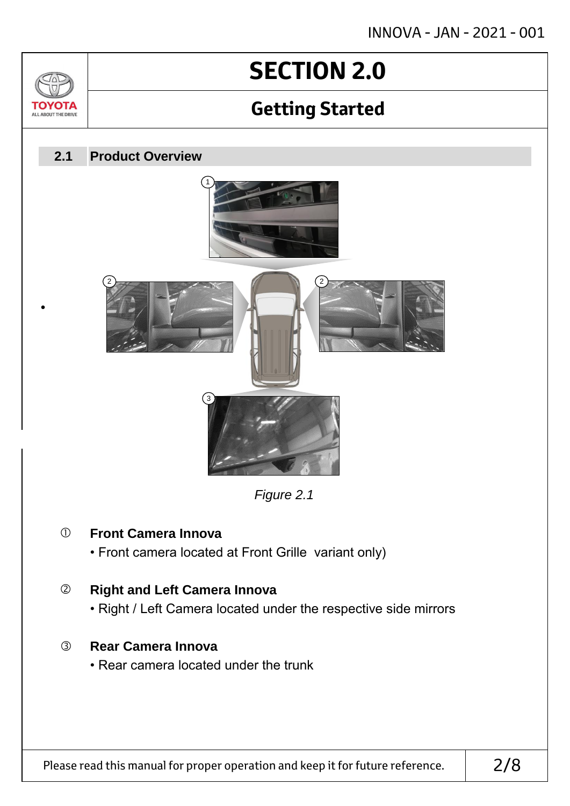# **SECTION 2.0**

## **Getting Started**



### **Front Camera Innova**

 $\sqrt{2}$ 

TOVOTZ ALL ABOUT THE DRIVE

• Front camera located at Front Grille variant only)

### **Right and Left Camera Innova**

• Right / Left Camera located under the respective side mirrors

### **Rear Camera Innova**

• Rear camera located under the trunk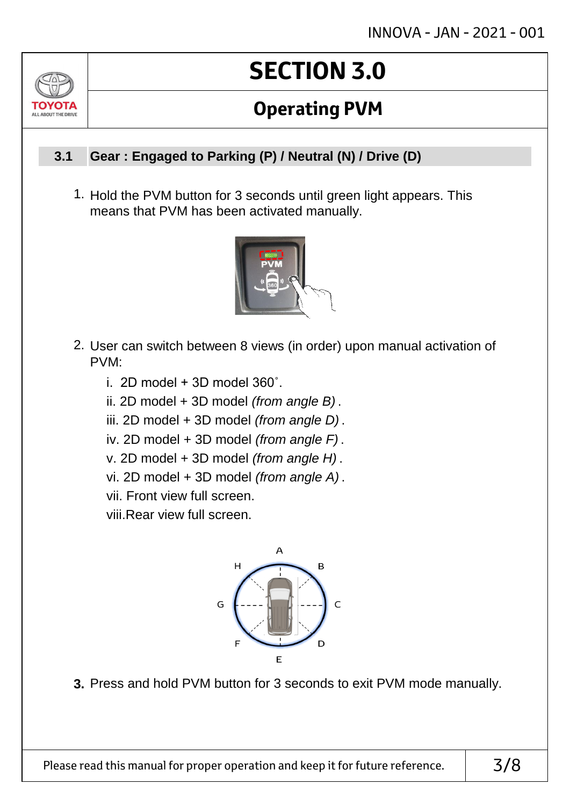# **SECTION 3.0**

## **Operating PVM**

#### **Gear : Engaged to Parking (P) / Neutral (N) / Drive (D) 3.1**

ALL AROUT THE DRIV

1. Hold the PVM button for 3 seconds until green light appears. This means that PVM has been activated manually.



- 2. User can switch between 8 views (in order) upon manual activation of PVM:
	- i. 2D model  $+$  3D model 360 $^{\circ}$ .
	- ii. 2D model + 3D model *(from angle B)* .
	- iii. 2D model + 3D model *(from angle D)* .
	- iv. 2D model + 3D model *(from angle F)* .
	- v. 2D model + 3D model *(from angle H)* .
	- vi. 2D model + 3D model *(from angle A)* .
	- vii. Front view full screen.

viii.Rear view full screen.



**3.** Press and hold PVM button for 3 seconds to exit PVM mode manually.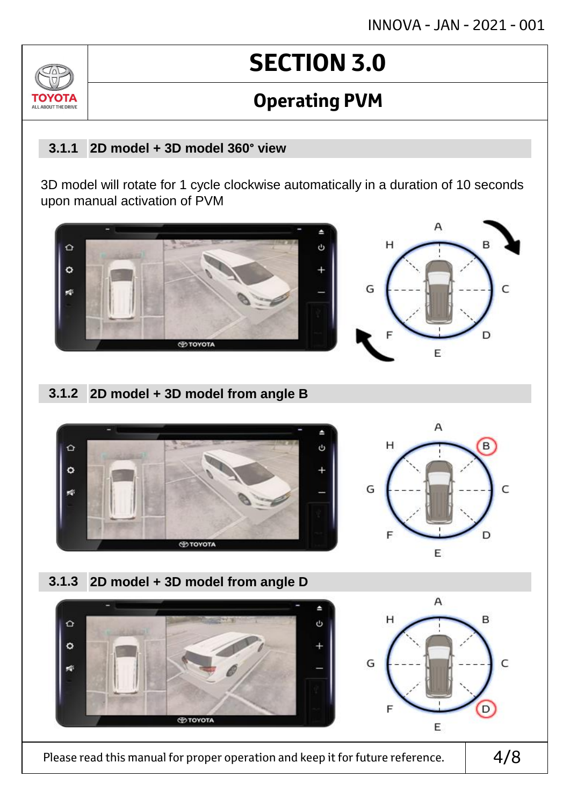# **SECTION 3.0**

## **Operating PVM**

#### **2D model + 3D model 360° view 3.1.1**

ALL AROUT THE D

3D model will rotate for 1 cycle clockwise automatically in a duration of 10 seconds upon manual activation of PVM



#### **2D model + 3D model from angle B 3.1.2**

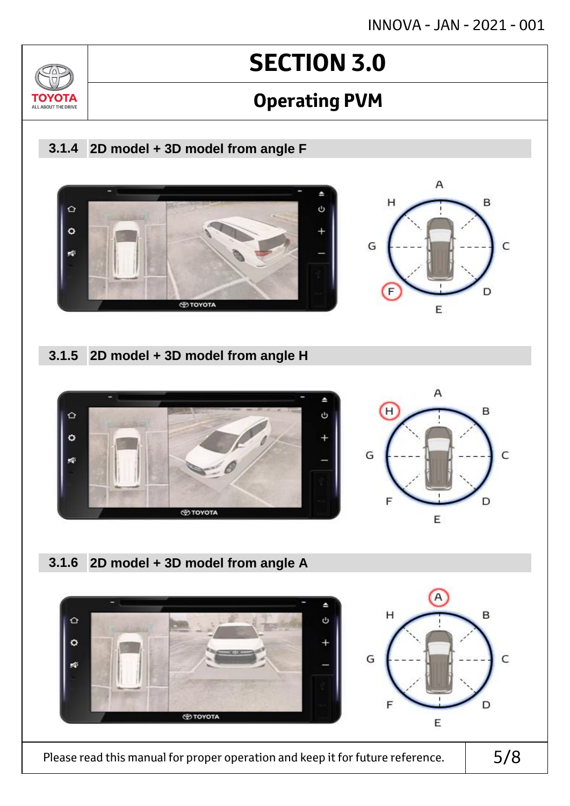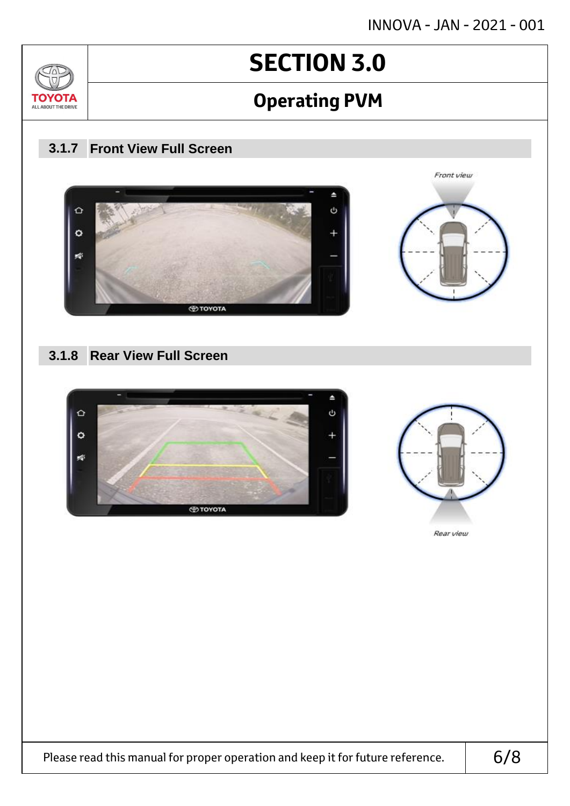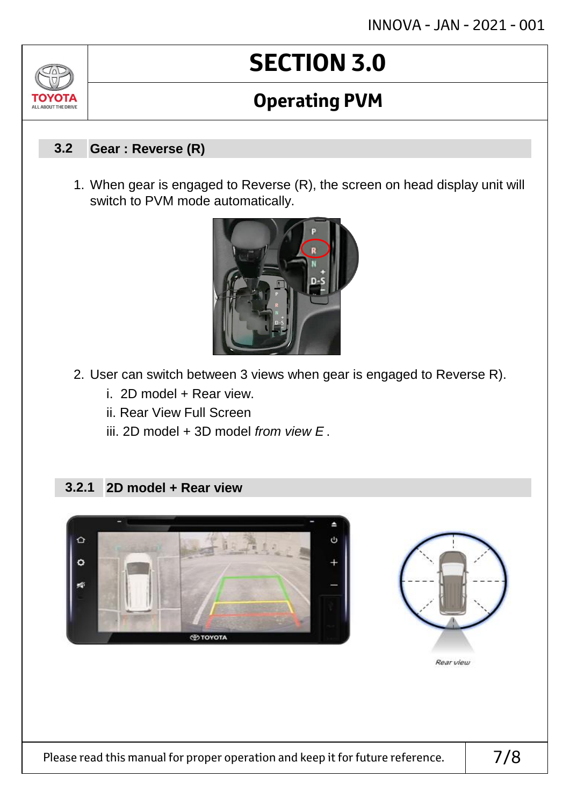# **SECTION 3.0**

## **Operating PVM**

#### **Gear : Reverse (R) 3.2**

1. When gear is engaged to Reverse (R), the screen on head display unit will switch to PVM mode automatically.



- 2. User can switch between 3 views when gear is engaged to Reverse R).
	- i. 2D model + Rear view.
	- ii. Rear View Full Screen
	- iii. 2D model + 3D model *from view E* .

#### **2D model + Rear view 3.2.1**



Please read this manual for proper operation and keep it for future reference.  $\vert$  7/8